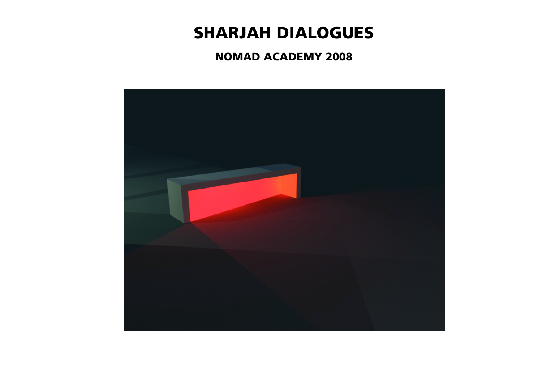# **SHARJAH DIALOGUES**

# **NOMAD ACADEMY 2008**



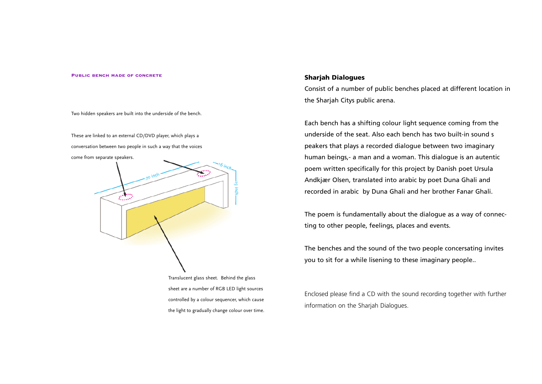#### **Public bench made of concrete**

Two hidden speakers are built into the underside of the bench.

These are linked to an external CD/DVD player, which plays a conversation between two people in such a way that the voices come from separate speakers.



the light to gradually change colour over time.

#### **Sharjah Dialogues**

### Consist of a number of public benches placed at different location in

the Sharjah Citys public arena.

Each bench has a shifting colour light sequence coming from the underside of the seat. Also each bench has two built-in sound s peakers that plays a recorded dialogue between two imaginary human beings,- a man and a woman. This dialogue is an autentic poem written specifically for this project by Danish poet Ursula Andkjær Olsen, translated into arabic by poet Duna Ghali and recorded in arabic by Duna Ghali and her brother Fanar Ghali.

The poem is fundamentally about the dialogue as a way of connecting to other people, feelings, places and events.

The benches and the sound of the two people concersating invites you to sit for a while lisening to these imaginary people..

Enclosed please find a CD with the sound recording together with further information on the Sharjah Dialogues.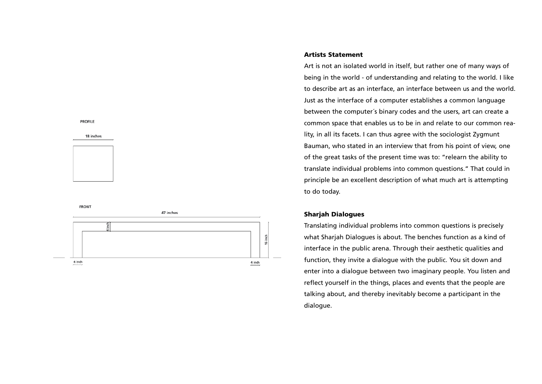#### **PROFILE**

#### 18 inches



**FRONT** 



#### **Artists Statement**

Art is not an isolated world in itself, but rather one of many ways of being in the world - of understanding and relating to the world. I like to describe art as an interface, an interface between us and the world. Just as the interface of a computer establishes a common language between the computer´s binary codes and the users, art can create a common space that enables us to be in and relate to our common reality, in all its facets. I can thus agree with the sociologist Zygmunt Bauman, who stated in an interview that from his point of view, one of the great tasks of the present time was to: "relearn the ability to translate individual problems into common questions." That could in principle be an excellent description of what much art is attempting to do today.

#### **Sharjah Dialogues**

Translating individual problems into common questions is precisely what Sharjah Dialogues is about. The benches function as a kind of interface in the public arena. Through their aesthetic qualities and function, they invite a dialogue with the public. You sit down and enter into a dialogue between two imaginary people. You listen and reflect yourself in the things, places and events that the people are talking about, and thereby inevitably become a participant in the dialogue.